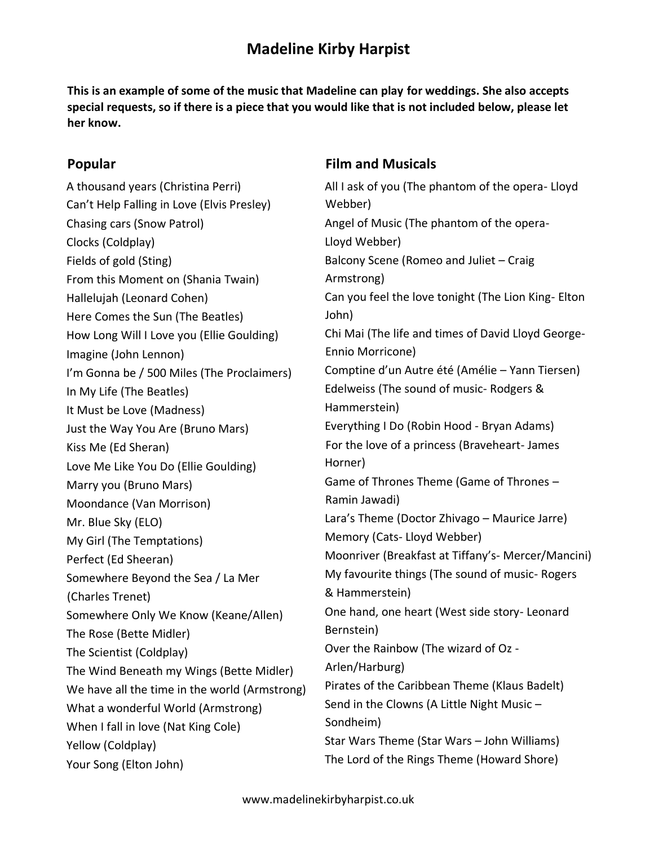# **Madeline Kirby Harpist**

**This is an example of some of the music that Madeline can play for weddings. She also accepts special requests, so if there is a piece that you would like that is not included below, please let her know.** 

#### **Popular**

A thousand years (Christina Perri) Can't Help Falling in Love (Elvis Presley) Chasing cars (Snow Patrol) Clocks (Coldplay) Fields of gold (Sting) From this Moment on (Shania Twain) Hallelujah (Leonard Cohen) Here Comes the Sun (The Beatles) How Long Will I Love you (Ellie Goulding) Imagine (John Lennon) I'm Gonna be / 500 Miles (The Proclaimers) In My Life (The Beatles) It Must be Love (Madness) Just the Way You Are (Bruno Mars) Kiss Me (Ed Sheran) Love Me Like You Do (Ellie Goulding) Marry you (Bruno Mars) Moondance (Van Morrison) Mr. Blue Sky (ELO) My Girl (The Temptations) Perfect (Ed Sheeran) Somewhere Beyond the Sea / La Mer (Charles Trenet) Somewhere Only We Know (Keane/Allen) The Rose (Bette Midler) The Scientist (Coldplay) The Wind Beneath my Wings (Bette Midler) We have all the time in the world (Armstrong) What a wonderful World (Armstrong) When I fall in love (Nat King Cole) Yellow (Coldplay) Your Song (Elton John)

### **Film and Musicals**

All I ask of you (The phantom of the opera- Lloyd Webber) Angel of Music (The phantom of the opera-Lloyd Webber) Balcony Scene (Romeo and Juliet – Craig Armstrong) Can you feel the love tonight (The Lion King- Elton John) Chi Mai (The life and times of David Lloyd George-Ennio Morricone) Comptine d'un Autre été (Amélie – Yann Tiersen) Edelweiss (The sound of music- Rodgers & Hammerstein) Everything I Do (Robin Hood - Bryan Adams) For the love of a princess (Braveheart- James Horner) Game of Thrones Theme (Game of Thrones – Ramin Jawadi) Lara's Theme (Doctor Zhivago – Maurice Jarre) Memory (Cats- Lloyd Webber) Moonriver (Breakfast at Tiffany's- Mercer/Mancini) My favourite things (The sound of music- Rogers & Hammerstein) One hand, one heart (West side story- Leonard Bernstein) Over the Rainbow (The wizard of Oz - Arlen/Harburg) Pirates of the Caribbean Theme (Klaus Badelt) Send in the Clowns (A Little Night Music – Sondheim) Star Wars Theme (Star Wars – John Williams) The Lord of the Rings Theme (Howard Shore)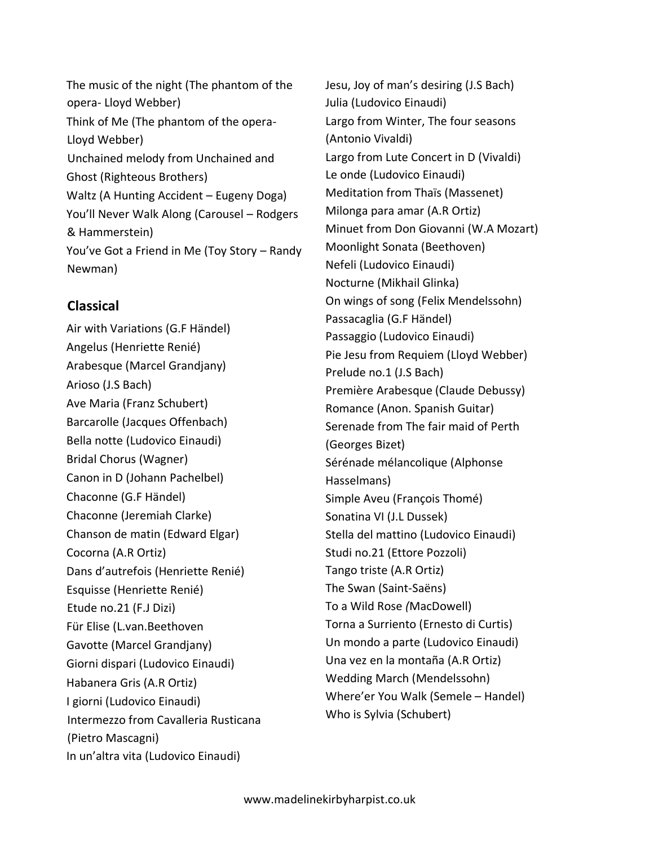The music of the night (The phantom of the opera- Lloyd Webber) Think of Me (The phantom of the opera-Lloyd Webber) Unchained melody from Unchained and Ghost (Righteous Brothers) Waltz (A Hunting Accident – Eugeny Doga) You'll Never Walk Along (Carousel – Rodgers & Hammerstein) You've Got a Friend in Me (Toy Story – Randy Newman)

### **Classical**

Air with Variations (G.F Händel) Angelus (Henriette Renié) Arabesque (Marcel Grandjany) Arioso (J.S Bach) Ave Maria (Franz Schubert) Barcarolle (Jacques Offenbach) Bella notte (Ludovico Einaudi) Bridal Chorus (Wagner) Canon in D (Johann Pachelbel) Chaconne (G.F Händel) Chaconne (Jeremiah Clarke) Chanson de matin (Edward Elgar) Cocorna (A.R Ortiz) Dans d'autrefois (Henriette Renié) Esquisse (Henriette Renié) Etude no.21 (F.J Dizi) Für Elise (L.van.Beethoven Gavotte (Marcel Grandjany) Giorni dispari (Ludovico Einaudi) Habanera Gris (A.R Ortiz) I giorni (Ludovico Einaudi) Intermezzo from Cavalleria Rusticana (Pietro Mascagni) In un'altra vita (Ludovico Einaudi)

Jesu, Joy of man's desiring (J.S Bach) Julia (Ludovico Einaudi) Largo from Winter, The four seasons (Antonio Vivaldi) Largo from Lute Concert in D (Vivaldi) Le onde (Ludovico Einaudi) Meditation from Thaïs (Massenet) Milonga para amar (A.R Ortiz) Minuet from Don Giovanni (W.A Mozart) Moonlight Sonata (Beethoven) Nefeli (Ludovico Einaudi) Nocturne (Mikhail Glinka) On wings of song (Felix Mendelssohn) Passacaglia (G.F Händel) Passaggio (Ludovico Einaudi) Pie Jesu from Requiem (Lloyd Webber) Prelude no.1 (J.S Bach) Première Arabesque (Claude Debussy) Romance (Anon. Spanish Guitar) Serenade from The fair maid of Perth (Georges Bizet) Sérénade mélancolique (Alphonse Hasselmans) Simple Aveu (François Thomé) Sonatina VI (J.L Dussek) Stella del mattino (Ludovico Einaudi) Studi no.21 (Ettore Pozzoli) Tango triste (A.R Ortiz) The Swan (Saint-Saëns) To a Wild Rose *(*MacDowell) Torna a Surriento (Ernesto di Curtis) Un mondo a parte (Ludovico Einaudi) Una vez en la montaña (A.R Ortiz) Wedding March (Mendelssohn) Where'er You Walk (Semele – Handel) Who is Sylvia (Schubert)